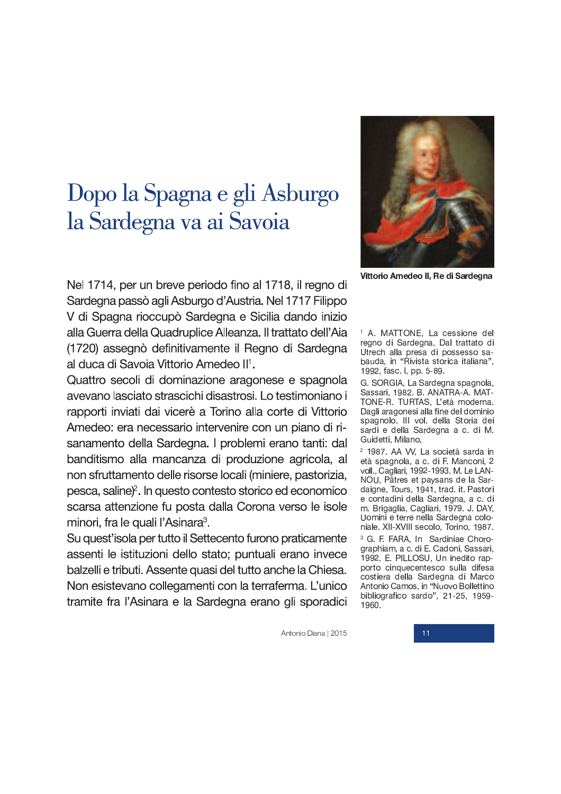## Dopo la Spagna e gli Asburgo la Sardegna va ai Savoia



Vittorio Amedeo II, Re di Sardegna

Nel 1714, per un breve periodo fino al 1718, il regno di Sardegna passò agli Asburgo d'Austria. Nel 1717 Filippo V di Spagna rioccupò Sardegna e Sicilia dando inizio alla Guerra della Quadruplice Alleanza. Il trattato dell'Aia (1720) assegnò definitivamente il Regno di Sardegna al duca di Savoia Vittorio Amedeo II<sup>1</sup>.

Quattro secoli di dominazione aragonese e spagnola avevano lasciato strascichi disastrosi. Lo testimoniano i rapporti inviati dai vicerè a Torino alla corte di Vittorio Amedeo: era necessario intervenire con un piano di risanamento della Sardegna. I problemi erano tanti: dal banditismo alla mancanza di produzione agricola, al non sfruttamento delle risorse locali (miniere, pastorizia, pesca, saline)<sup>2</sup>. In questo contesto storico ed economico scarsa attenzione fu posta dalla Corona verso le isole minori, fra le quali l'Asinara<sup>3</sup>.

Su quest'isola per tutto il Settecento furono praticamente assenti le istituzioni dello stato; puntuali erano invece balzelli e tributi. Assente quasi del tutto anche la Chiesa. Non esistevano collegamenti con la terraferma. L'unico tramite fra l'Asinara e la Sardegna erano gli sporadici

<sup>1</sup> A. MATTONE, La cessione del regno di Sardegna. Dal trattato di Utrech alla presa di possesso sabauda, in "Rivista storica italiana", 1992, fasc. I, pp. 5-89.

G. SORGIA, La Sardegna spagnola, Sassari, 1982. B. ANATRA-A. MAT-TONE-R. TURTAS, L'età moderna. Dagli aragonesi alla fine del dominio spagnolo. III vol. della Storia dei sardi e della Sardegna a c. di M. Guidetti, Milano.

<sup>2</sup> 1987. AA VV, La società sarda in età spagnola, a c. di F. Manconi, 2 voll., Cagliari, 1992-1993. M. Le LAN-NOU, Pâtres et paysans de la Sardaigne, Tours, 1941, trad. it. Pastori e contadini della Sardegna, a c. di m. Brigaglia, Cagliari, 1979. J. DAY, Uomini e terre nella Sardegna coloniale. XII-XVIII secolo, Torino, 1987.

<sup>3</sup> G. F. FARA, In Sardiniae Chorographiam, a c. di E. Cadoni, Sassari, 1992. E. PILLOSU, Un inedito rapporto cinquecentesco sulla difesa costiera della Sardegna di Marco Antonio Camos, in "Nuovo Bollettino bibliografico sardo", 21-25, 1959-1960.

Antonio Diana | 2015